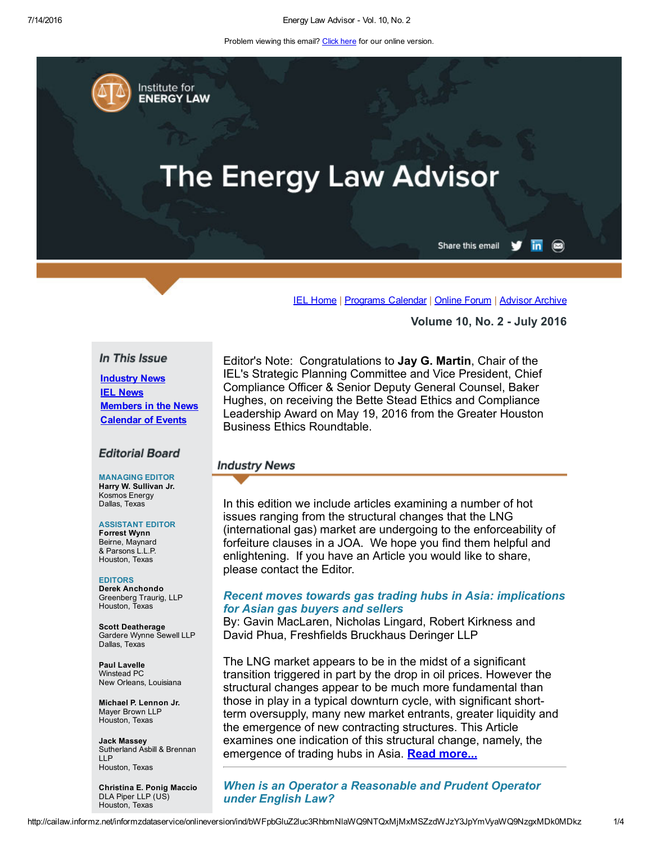Problem viewing this email? Click here for our online version.

Institute for **ENERGY LAW** 

# **The Energy Law Advisor**

in. Share this email

 $\circledast$ 

IEL [Home](http://www.cailaw.org/institute-for-energy-law/index.html?utm_source=Informz&utm_medium=Email&utm_campaign=Event+Details) | [Programs](http://www.cailaw.org/institute-for-energy-law/programs-calendar.html?utm_source=Informz&utm_medium=Email&utm_campaign=Event+Details) Calendar | [Online](https://www.linkedin.com/groups?gid=2330688&trk=myg_ugrp_ovr) Forum | [Advisor](http://www.cailaw.org/institute-for-energy-law/publications/energy-law-advisor.html?utm_source=Informz&utm_medium=Email&utm_campaign=Event+Details) Archive

Volume 10, No. 2 July 2016

#### In This Issue

Industry News **IEL News** [Members](#page-1-0) in the News [Calendar](#page-2-0) of Events

#### **Editorial Board**

#### MANAGING EDITOR Harry W. Sullivan Jr. Kosmos Energy Dallas, Texas

#### ASSISTANT EDITOR

Forrest Wynn Beirne, Maynard & Parsons L.L.P. Houston, Texas

EDITORS Derek Anchondo Greenberg Traurig, LLP Houston, Texas

Scott Deatherage Gardere Wynne Sewell LLP Dallas, Texas

Paul Lavelle Winstead PC New Orleans, Louisiana

Michael P. Lennon Jr. Mayer Brown LLP Houston, Texas

Jack Massey Sutherland Asbill & Brennan LLP Houston, Texas

Christina E. Ponig Maccio DLA Piper LLP (US) Houston, Texas

Editor's Note: Congratulations to Jay G. Martin, Chair of the IEL's Strategic Planning Committee and Vice President, Chief Compliance Officer & Senior Deputy General Counsel, Baker Hughes, on receiving the Bette Stead Ethics and Compliance Leadership Award on May 19, 2016 from the Greater Houston Business Ethics Roundtable.

#### **Industry News**

In this edition we include articles examining a number of hot issues ranging from the structural changes that the LNG (international gas) market are undergoing to the enforceability of forfeiture clauses in a JOA. We hope you find them helpful and enlightening. If you have an Article you would like to share, please contact the Editor.

## *Recent moves towards gas trading hubs in Asia: implications for Asian gas buyers and sellers*

By: Gavin MacLaren, Nicholas Lingard, Robert Kirkness and David Phua, Freshfields Bruckhaus Deringer LLP

The LNG market appears to be in the midst of a significant transition triggered in part by the drop in oil prices. However the structural changes appear to be much more fundamental than those in play in a typical downturn cycle, with significant shortterm oversupply, many new market entrants, greater liquidity and the emergence of new contracting structures. This Article examines one indication of this structural change, namely, the emergence of trading hubs in Asia. Read [more...](http://www.cailaw.org/media/files/IEL/Publications/2016/recent-moves-vol10no2.pdf)

*When is an Operator a Reasonable and Prudent Operator under English Law?*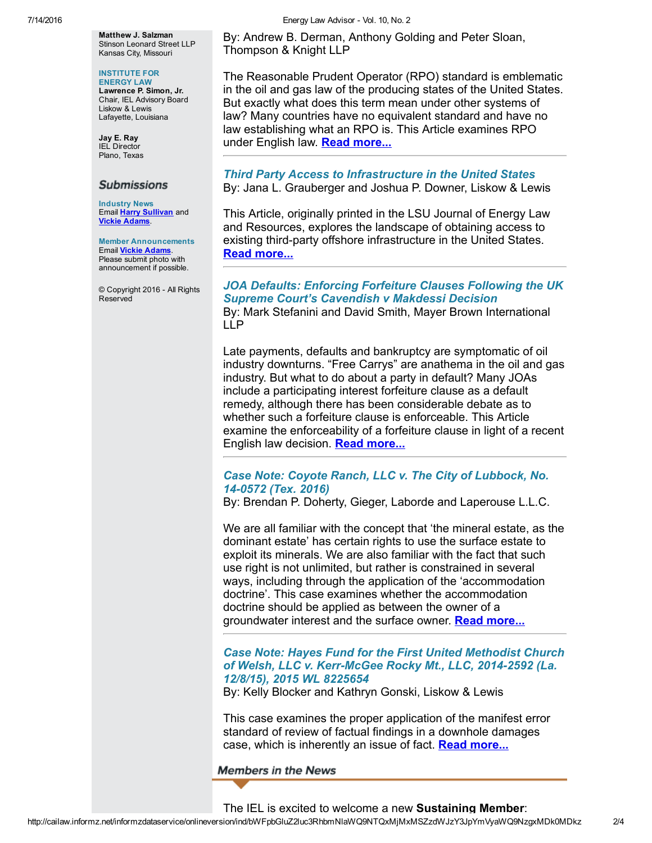Matthew J. Salzman Stinson Leonard Street LLP Kansas City, Missouri

#### INSTITUTE FOR

ENERGY LAW Lawrence P. Simon, Jr. Chair, IEL Advisory Board Liskow & Lewis Lafayette, Louisiana

Jay E. Ray IEL Director Plano, Texas

# **Submissions**

Industry News Email Harry [Sullivan](mailto:sullivanhw@aol.com) and Vickie [Adams.](mailto:vadams@cailaw.org)

Member Announcements Email Vickie [Adams.](mailto:vadams@cailaw.org) Please submit photo with announcement if possible.

© Copyright 2016 All Rights Reserved

By: Andrew B. Derman, Anthony Golding and Peter Sloan, Thompson & Knight LLP

The Reasonable Prudent Operator (RPO) standard is emblematic in the oil and gas law of the producing states of the United States. But exactly what does this term mean under other systems of law? Many countries have no equivalent standard and have no law establishing what an RPO is. This Article examines RPO under English law. Read [more...](http://www.cailaw.org/media/files/IEL/Publications/2016/operator-vol10no2.pdf)

# *Third Party Access to Infrastructure in the United States* By: Jana L. Grauberger and Joshua P. Downer, Liskow & Lewis

This Article, originally printed in the LSU Journal of Energy Law and Resources, explores the landscape of obtaining access to existing third-party offshore infrastructure in the United States. Read [more...](http://www.cailaw.org/media/files/IEL/Publications/2016/third-party-access-vol10no2.pdf)

## *JOA Defaults: Enforcing Forfeiture Clauses Following the UK Supreme Court's Cavendish v Makdessi Decision* By: Mark Stefanini and David Smith, Mayer Brown International LLP

Late payments, defaults and bankruptcy are symptomatic of oil industry downturns. "Free Carrys" are anathema in the oil and gas industry. But what to do about a party in default? Many JOAs include a participating interest forfeiture clause as a default remedy, although there has been considerable debate as to whether such a forfeiture clause is enforceable. This Article examine the enforceability of a forfeiture clause in light of a recent English law decision. **Read [more...](http://www.cailaw.org/media/files/IEL/Publications/2016/joa-defaults-vol10no2.pdf)** 

# *Case Note: Coyote Ranch, LLC v. The City of Lubbock, No. 140572 (Tex. 2016)*

By: Brendan P. Doherty, Gieger, Laborde and Laperouse L.L.C.

We are all familiar with the concept that 'the mineral estate, as the dominant estate' has certain rights to use the surface estate to exploit its minerals. We are also familiar with the fact that such use right is not unlimited, but rather is constrained in several ways, including through the application of the 'accommodation doctrine'. This case examines whether the accommodation doctrine should be applied as between the owner of a groundwater interest and the surface owner. **Read [more...](http://www.cailaw.org/media/files/IEL/Publications/2016/case-summary-vol10no2.pdf)** 

# *Case Note: Hayes Fund for the First United Methodist Church of Welsh, LLC v. KerrMcGee Rocky Mt., LLC, 20142592 (La. 12/8/15), 2015 WL 8225654*

By: Kelly Blocker and Kathryn Gonski, Liskow & Lewis

This case examines the proper application of the manifest error standard of review of factual findings in a downhole damages case, which is inherently an issue of fact. **Read [more...](http://www.cailaw.org/media/files/IEL/Publications/2016/case-note-vol10no2.pdf)** 

<span id="page-1-0"></span>**Members in the News**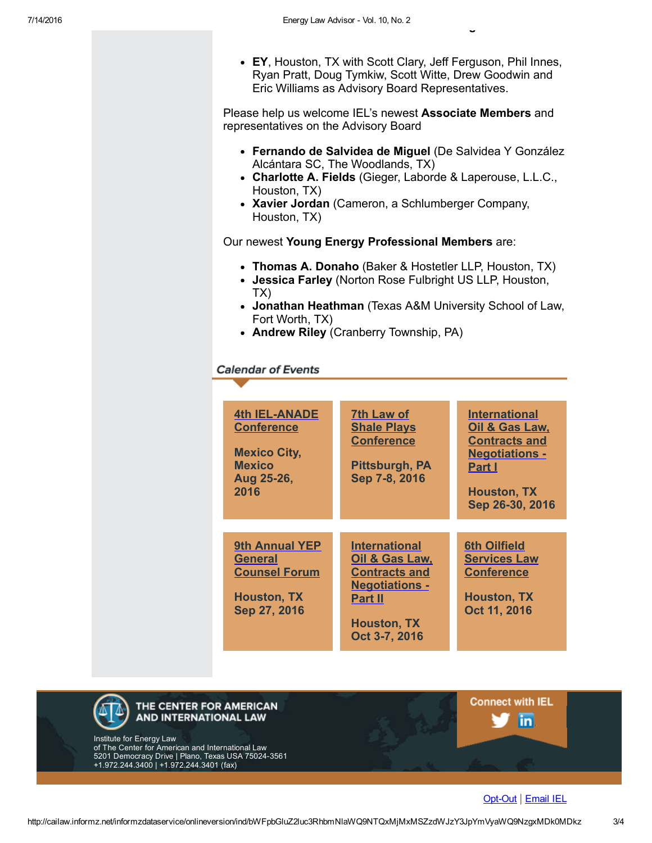• EY, Houston, TX with Scott Clary, Jeff Ferguson, Phil Innes, Ryan Pratt, Doug Tymkiw, Scott Witte, Drew Goodwin and Eric Williams as Advisory Board Representatives.

Please help us welcome IEL's newest Associate Members and representatives on the Advisory Board

- Fernando de Salvidea de Miguel (De Salvidea Y González Alcántara SC, The Woodlands, TX)
- Charlotte A. Fields (Gieger, Laborde & Laperouse, L.L.C., Houston, TX)
- Xavier Jordan (Cameron, a Schlumberger Company, Houston, TX)

Our newest Young Energy Professional Members are:

- Thomas A. Donaho (Baker & Hostetler LLP, Houston, TX)
- Jessica Farley (Norton Rose Fulbright US LLP, Houston, TX)
- Jonathan Heathman (Texas A&M University School of Law, Fort Worth, TX)
- Andrew Riley (Cranberry Township, PA)

# <span id="page-2-0"></span>**Calendar of Events**

| <b>4th IEL-ANADE</b><br><b>Conference</b><br><b>Mexico City,</b><br><b>Mexico</b><br>Aug 25-26,<br>2016 | 7th Law of<br><b>Shale Plays</b><br><b>Conference</b><br>Pittsburgh, PA<br>Sep 7-8, 2016                                                         | <b>International</b><br>Oil & Gas Law,<br><b>Contracts and</b><br><b>Negotiations -</b><br><b>Part I</b><br><b>Houston, TX</b><br>Sep 26-30, 2016 |
|---------------------------------------------------------------------------------------------------------|--------------------------------------------------------------------------------------------------------------------------------------------------|---------------------------------------------------------------------------------------------------------------------------------------------------|
|                                                                                                         |                                                                                                                                                  |                                                                                                                                                   |
| 9th Annual YEP<br><b>General</b><br><b>Counsel Forum</b><br><b>Houston, TX</b><br>Sep 27, 2016          | <b>International</b><br>Oil & Gas Law,<br><b>Contracts and</b><br><b>Negotiations -</b><br><b>Part II</b><br><b>Houston, TX</b><br>Oct 3-7, 2016 | <b>6th Oilfield</b><br><b>Services Law</b><br><b>Conference</b><br><b>Houston, TX</b><br>Oct 11, 2016                                             |



#### Opt-Out | [Email](mailto:iel@cailaw.org) IEL